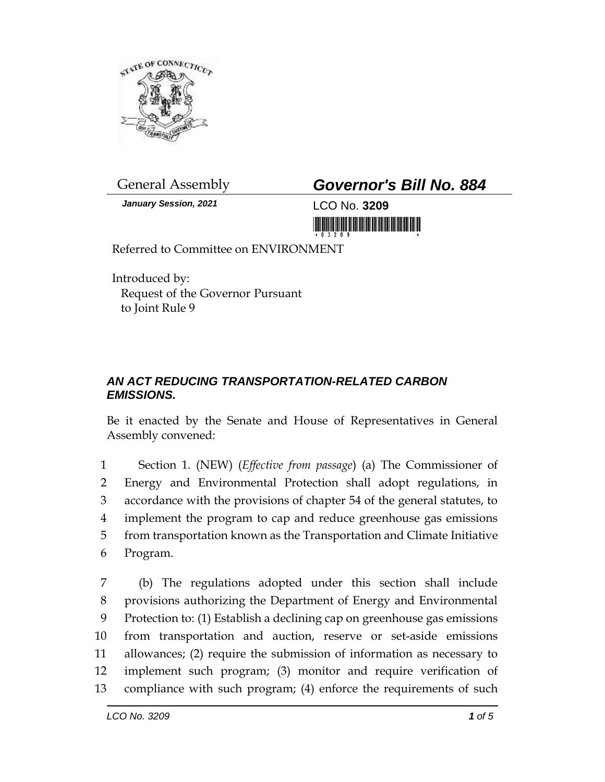

*January Session, 2021* LCO No. **3209**

## General Assembly *Governor's Bill No. 884*

<u> 1999 - Andrew Maria Maria Maria Maria Maria Maria Maria Maria Maria Maria Maria Maria Maria Maria Maria Mari</u>

Referred to Committee on ENVIRONMENT

Introduced by: Request of the Governor Pursuant to Joint Rule 9

## *AN ACT REDUCING TRANSPORTATION-RELATED CARBON EMISSIONS.*

Be it enacted by the Senate and House of Representatives in General Assembly convened:

 Section 1. (NEW) (*Effective from passage*) (a) The Commissioner of Energy and Environmental Protection shall adopt regulations, in accordance with the provisions of chapter 54 of the general statutes, to implement the program to cap and reduce greenhouse gas emissions from transportation known as the Transportation and Climate Initiative Program.

 (b) The regulations adopted under this section shall include provisions authorizing the Department of Energy and Environmental Protection to: (1) Establish a declining cap on greenhouse gas emissions from transportation and auction, reserve or set-aside emissions allowances; (2) require the submission of information as necessary to implement such program; (3) monitor and require verification of compliance with such program; (4) enforce the requirements of such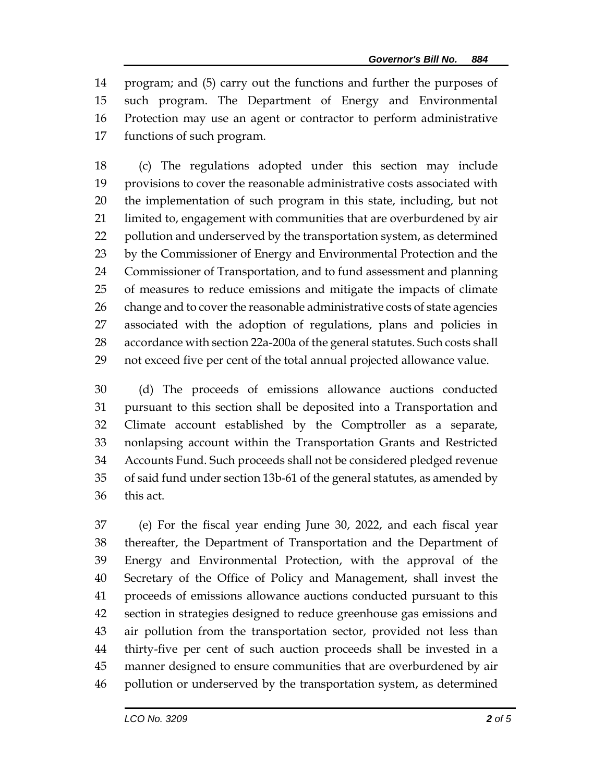program; and (5) carry out the functions and further the purposes of such program. The Department of Energy and Environmental Protection may use an agent or contractor to perform administrative functions of such program.

 (c) The regulations adopted under this section may include provisions to cover the reasonable administrative costs associated with the implementation of such program in this state, including, but not limited to, engagement with communities that are overburdened by air pollution and underserved by the transportation system, as determined by the Commissioner of Energy and Environmental Protection and the Commissioner of Transportation, and to fund assessment and planning of measures to reduce emissions and mitigate the impacts of climate 26 change and to cover the reasonable administrative costs of state agencies associated with the adoption of regulations, plans and policies in accordance with section 22a-200a of the general statutes. Such costs shall not exceed five per cent of the total annual projected allowance value.

 (d) The proceeds of emissions allowance auctions conducted pursuant to this section shall be deposited into a Transportation and Climate account established by the Comptroller as a separate, nonlapsing account within the Transportation Grants and Restricted Accounts Fund. Such proceeds shall not be considered pledged revenue of said fund under section 13b-61 of the general statutes, as amended by this act.

 (e) For the fiscal year ending June 30, 2022, and each fiscal year thereafter, the Department of Transportation and the Department of Energy and Environmental Protection, with the approval of the Secretary of the Office of Policy and Management, shall invest the proceeds of emissions allowance auctions conducted pursuant to this section in strategies designed to reduce greenhouse gas emissions and air pollution from the transportation sector, provided not less than thirty-five per cent of such auction proceeds shall be invested in a manner designed to ensure communities that are overburdened by air pollution or underserved by the transportation system, as determined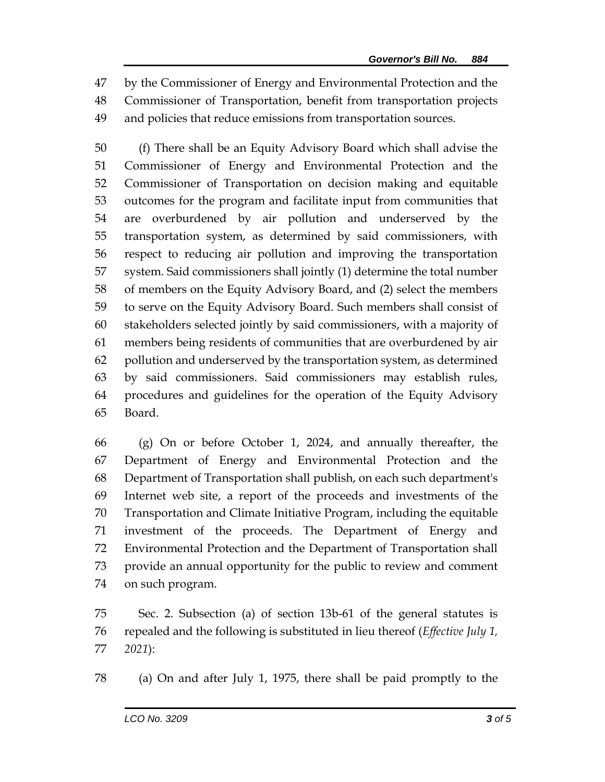by the Commissioner of Energy and Environmental Protection and the Commissioner of Transportation, benefit from transportation projects and policies that reduce emissions from transportation sources.

 (f) There shall be an Equity Advisory Board which shall advise the Commissioner of Energy and Environmental Protection and the Commissioner of Transportation on decision making and equitable outcomes for the program and facilitate input from communities that are overburdened by air pollution and underserved by the transportation system, as determined by said commissioners, with respect to reducing air pollution and improving the transportation system. Said commissioners shall jointly (1) determine the total number of members on the Equity Advisory Board, and (2) select the members to serve on the Equity Advisory Board. Such members shall consist of stakeholders selected jointly by said commissioners, with a majority of members being residents of communities that are overburdened by air pollution and underserved by the transportation system, as determined by said commissioners. Said commissioners may establish rules, procedures and guidelines for the operation of the Equity Advisory Board.

 (g) On or before October 1, 2024, and annually thereafter, the Department of Energy and Environmental Protection and the Department of Transportation shall publish, on each such department's Internet web site, a report of the proceeds and investments of the Transportation and Climate Initiative Program, including the equitable investment of the proceeds. The Department of Energy and Environmental Protection and the Department of Transportation shall provide an annual opportunity for the public to review and comment on such program.

 Sec. 2. Subsection (a) of section 13b-61 of the general statutes is repealed and the following is substituted in lieu thereof (*Effective July 1, 2021*):

(a) On and after July 1, 1975, there shall be paid promptly to the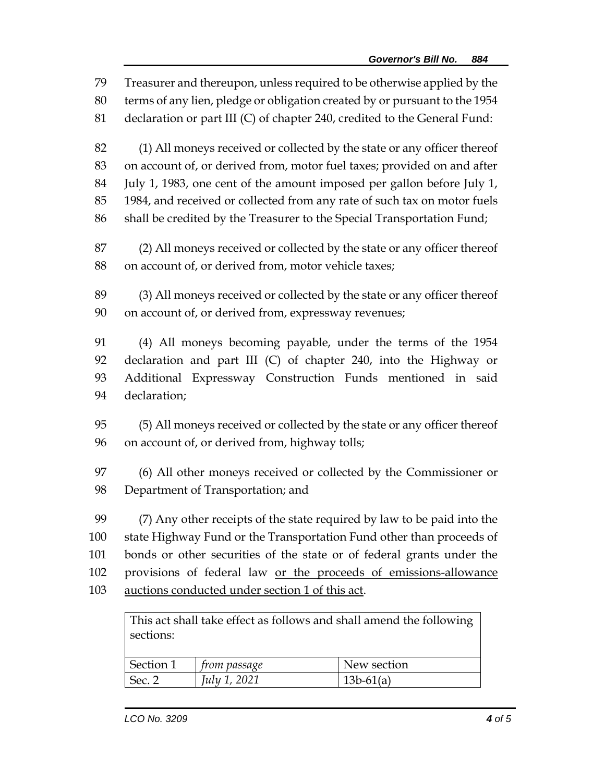Treasurer and thereupon, unless required to be otherwise applied by the terms of any lien, pledge or obligation created by or pursuant to the 1954 declaration or part III (C) of chapter 240, credited to the General Fund: (1) All moneys received or collected by the state or any officer thereof on account of, or derived from, motor fuel taxes; provided on and after July 1, 1983, one cent of the amount imposed per gallon before July 1, 1984, and received or collected from any rate of such tax on motor fuels shall be credited by the Treasurer to the Special Transportation Fund; (2) All moneys received or collected by the state or any officer thereof on account of, or derived from, motor vehicle taxes; (3) All moneys received or collected by the state or any officer thereof on account of, or derived from, expressway revenues; (4) All moneys becoming payable, under the terms of the 1954 declaration and part III (C) of chapter 240, into the Highway or Additional Expressway Construction Funds mentioned in said declaration; (5) All moneys received or collected by the state or any officer thereof on account of, or derived from, highway tolls; (6) All other moneys received or collected by the Commissioner or Department of Transportation; and (7) Any other receipts of the state required by law to be paid into the state Highway Fund or the Transportation Fund other than proceeds of bonds or other securities of the state or of federal grants under the provisions of federal law or the proceeds of emissions-allowance auctions conducted under section 1 of this act. This act shall take effect as follows and shall amend the following sections:

| Section 1 | ∣ †rom passage | New section |
|-----------|----------------|-------------|
| Sec. ~    | July 1, 2021   | $13b-61(a)$ |